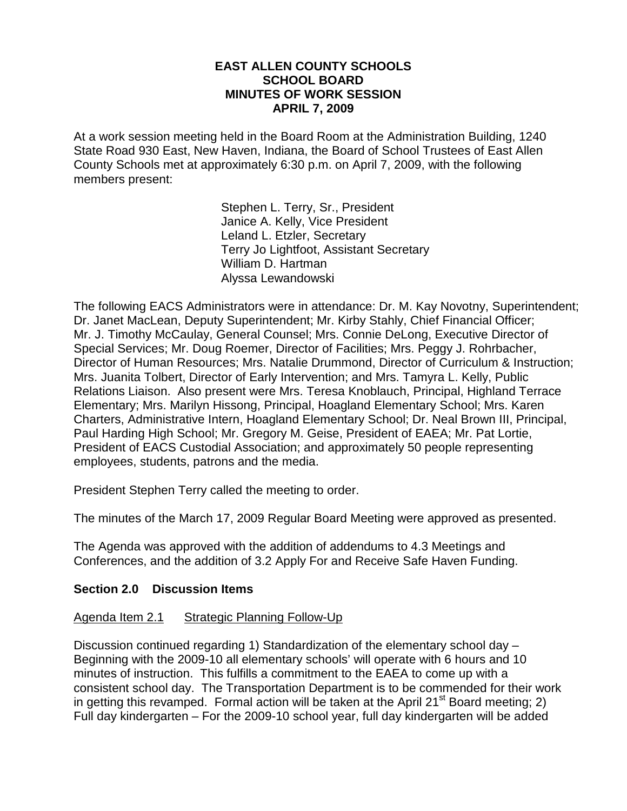#### **EAST ALLEN COUNTY SCHOOLS SCHOOL BOARD MINUTES OF WORK SESSION APRIL 7, 2009**

At a work session meeting held in the Board Room at the Administration Building, 1240 State Road 930 East, New Haven, Indiana, the Board of School Trustees of East Allen County Schools met at approximately 6:30 p.m. on April 7, 2009, with the following members present:

> Stephen L. Terry, Sr., President Janice A. Kelly, Vice President Leland L. Etzler, Secretary Terry Jo Lightfoot, Assistant Secretary William D. Hartman Alyssa Lewandowski

The following EACS Administrators were in attendance: Dr. M. Kay Novotny, Superintendent; Dr. Janet MacLean, Deputy Superintendent; Mr. Kirby Stahly, Chief Financial Officer; Mr. J. Timothy McCaulay, General Counsel; Mrs. Connie DeLong, Executive Director of Special Services; Mr. Doug Roemer, Director of Facilities; Mrs. Peggy J. Rohrbacher, Director of Human Resources; Mrs. Natalie Drummond, Director of Curriculum & Instruction; Mrs. Juanita Tolbert, Director of Early Intervention; and Mrs. Tamyra L. Kelly, Public Relations Liaison. Also present were Mrs. Teresa Knoblauch, Principal, Highland Terrace Elementary; Mrs. Marilyn Hissong, Principal, Hoagland Elementary School; Mrs. Karen Charters, Administrative Intern, Hoagland Elementary School; Dr. Neal Brown III, Principal, Paul Harding High School; Mr. Gregory M. Geise, President of EAEA; Mr. Pat Lortie, President of EACS Custodial Association; and approximately 50 people representing employees, students, patrons and the media.

President Stephen Terry called the meeting to order.

The minutes of the March 17, 2009 Regular Board Meeting were approved as presented.

The Agenda was approved with the addition of addendums to 4.3 Meetings and Conferences, and the addition of 3.2 Apply For and Receive Safe Haven Funding.

#### **Section 2.0 Discussion Items**

#### Agenda Item 2.1 Strategic Planning Follow-Up

Discussion continued regarding 1) Standardization of the elementary school day – Beginning with the 2009-10 all elementary schools' will operate with 6 hours and 10 minutes of instruction. This fulfills a commitment to the EAEA to come up with a consistent school day. The Transportation Department is to be commended for their work in getting this revamped. Formal action will be taken at the April 21<sup>st</sup> Board meeting; 2) Full day kindergarten – For the 2009-10 school year, full day kindergarten will be added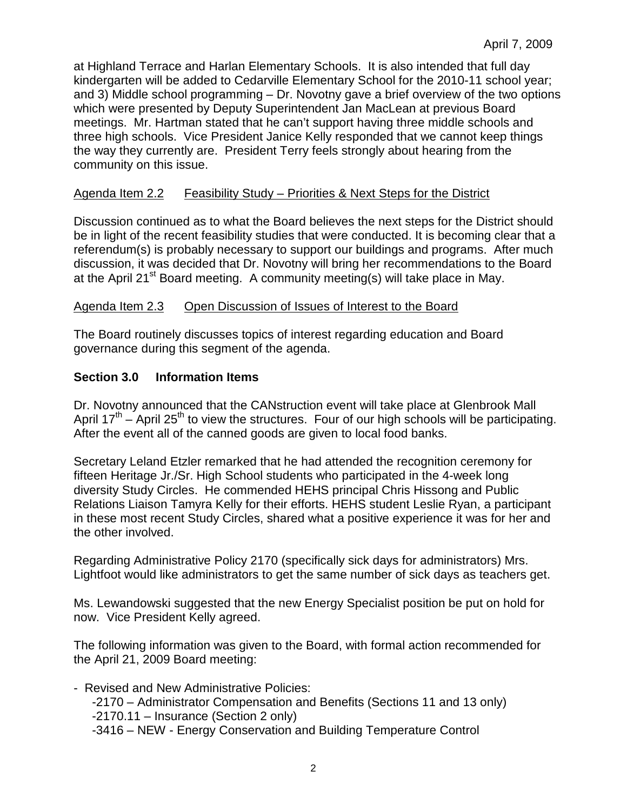at Highland Terrace and Harlan Elementary Schools. It is also intended that full day kindergarten will be added to Cedarville Elementary School for the 2010-11 school year; and 3) Middle school programming – Dr. Novotny gave a brief overview of the two options which were presented by Deputy Superintendent Jan MacLean at previous Board meetings. Mr. Hartman stated that he can't support having three middle schools and three high schools. Vice President Janice Kelly responded that we cannot keep things the way they currently are. President Terry feels strongly about hearing from the community on this issue.

# Agenda Item 2.2 Feasibility Study – Priorities & Next Steps for the District

Discussion continued as to what the Board believes the next steps for the District should be in light of the recent feasibility studies that were conducted. It is becoming clear that a referendum(s) is probably necessary to support our buildings and programs. After much discussion, it was decided that Dr. Novotny will bring her recommendations to the Board at the April 21<sup>st</sup> Board meeting. A community meeting(s) will take place in May.

## Agenda Item 2.3 Open Discussion of Issues of Interest to the Board

The Board routinely discusses topics of interest regarding education and Board governance during this segment of the agenda.

## **Section 3.0 Information Items**

Dr. Novotny announced that the CANstruction event will take place at Glenbrook Mall April  $17<sup>th</sup>$  – April 25<sup>th</sup> to view the structures. Four of our high schools will be participating. After the event all of the canned goods are given to local food banks.

Secretary Leland Etzler remarked that he had attended the recognition ceremony for fifteen Heritage Jr./Sr. High School students who participated in the 4-week long diversity Study Circles. He commended HEHS principal Chris Hissong and Public Relations Liaison Tamyra Kelly for their efforts. HEHS student Leslie Ryan, a participant in these most recent Study Circles, shared what a positive experience it was for her and the other involved.

Regarding Administrative Policy 2170 (specifically sick days for administrators) Mrs. Lightfoot would like administrators to get the same number of sick days as teachers get.

Ms. Lewandowski suggested that the new Energy Specialist position be put on hold for now. Vice President Kelly agreed.

The following information was given to the Board, with formal action recommended for the April 21, 2009 Board meeting:

- Revised and New Administrative Policies: -2170 – Administrator Compensation and Benefits (Sections 11 and 13 only) -2170.11 – Insurance (Section 2 only) -3416 – NEW - Energy Conservation and Building Temperature Control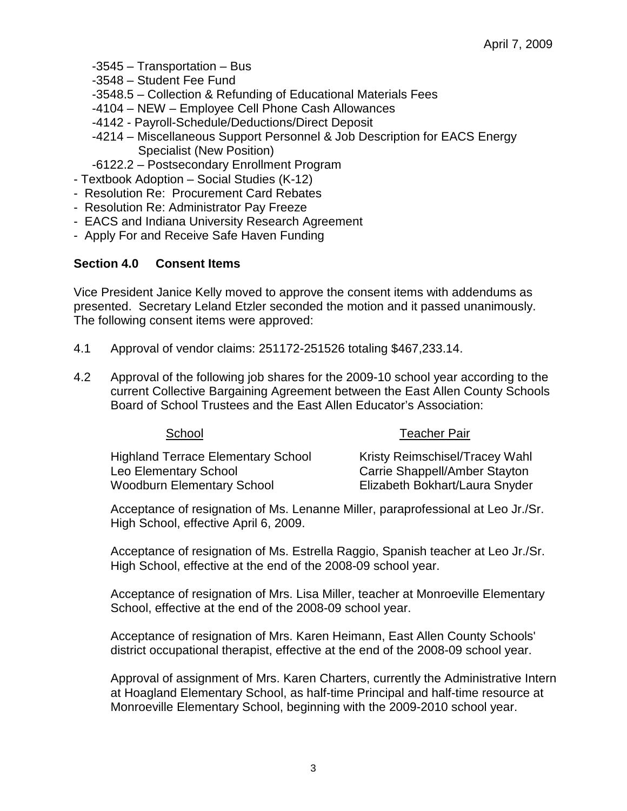- -3545 Transportation Bus
- -3548 Student Fee Fund
- -3548.5 Collection & Refunding of Educational Materials Fees
- -4104 NEW Employee Cell Phone Cash Allowances
- -4142 Payroll-Schedule/Deductions/Direct Deposit
- -4214 Miscellaneous Support Personnel & Job Description for EACS Energy Specialist (New Position)
- -6122.2 Postsecondary Enrollment Program
- Textbook Adoption Social Studies (K-12)
- Resolution Re: Procurement Card Rebates
- Resolution Re: Administrator Pay Freeze
- EACS and Indiana University Research Agreement
- Apply For and Receive Safe Haven Funding

## **Section 4.0 Consent Items**

Vice President Janice Kelly moved to approve the consent items with addendums as presented. Secretary Leland Etzler seconded the motion and it passed unanimously. The following consent items were approved:

- 4.1 Approval of vendor claims: 251172-251526 totaling \$467,233.14.
- 4.2 Approval of the following job shares for the 2009-10 school year according to the current Collective Bargaining Agreement between the East Allen County Schools Board of School Trustees and the East Allen Educator's Association:

School Teacher Pair

| <b>JULIUUL</b>                     | Teacher Fall                   |
|------------------------------------|--------------------------------|
| Highland Terrace Elementary School | Kristy Reimschisel/Tracey Wahl |
| Leo Elementary School              | Carrie Shappell/Amber Stayton  |
| Woodburn Elementary School         | Elizabeth Bokhart/Laura Snyder |

 Acceptance of resignation of Ms. Lenanne Miller, paraprofessional at Leo Jr./Sr. High School, effective April 6, 2009.

Acceptance of resignation of Ms. Estrella Raggio, Spanish teacher at Leo Jr./Sr. High School, effective at the end of the 2008-09 school year.

Acceptance of resignation of Mrs. Lisa Miller, teacher at Monroeville Elementary School, effective at the end of the 2008-09 school year.

Acceptance of resignation of Mrs. Karen Heimann, East Allen County Schools' district occupational therapist, effective at the end of the 2008-09 school year.

 Approval of assignment of Mrs. Karen Charters, currently the Administrative Intern at Hoagland Elementary School, as half-time Principal and half-time resource at Monroeville Elementary School, beginning with the 2009-2010 school year.